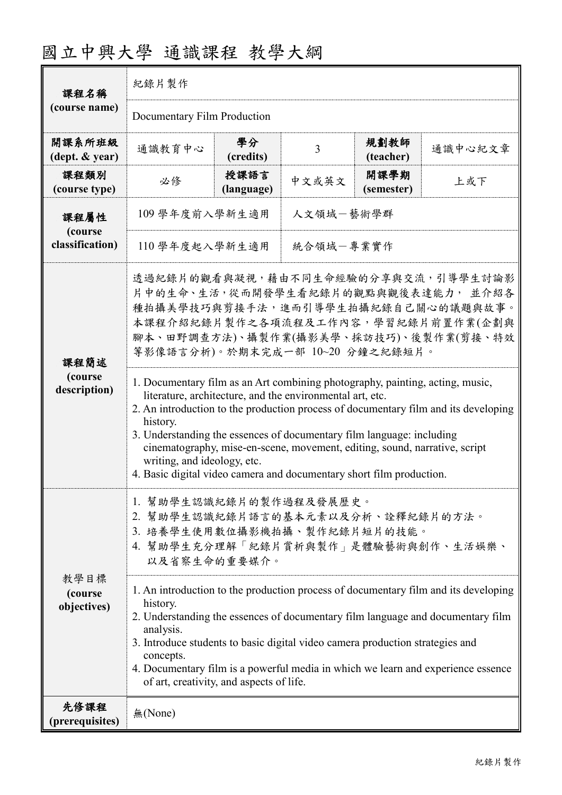| 課程名稱<br>(course name)           | 紀錄片製作                                                                                                                                                                                                                                                                                                                                                                                                                                                                                                       |                    |       |                    |         |  |  |
|---------------------------------|-------------------------------------------------------------------------------------------------------------------------------------------------------------------------------------------------------------------------------------------------------------------------------------------------------------------------------------------------------------------------------------------------------------------------------------------------------------------------------------------------------------|--------------------|-------|--------------------|---------|--|--|
|                                 | Documentary Film Production                                                                                                                                                                                                                                                                                                                                                                                                                                                                                 |                    |       |                    |         |  |  |
| 開課系所班級<br>(dept. & year)        | 通識教育中心                                                                                                                                                                                                                                                                                                                                                                                                                                                                                                      | 學分<br>(credits)    | 3     | 規劃教師<br>(teacher)  | 通識中心紀文章 |  |  |
| 課程類別<br>(course type)           | 必修                                                                                                                                                                                                                                                                                                                                                                                                                                                                                                          | 授課語言<br>(language) | 中文或英文 | 開課學期<br>(semester) | 上或下     |  |  |
| 課程屬性                            | 人文領域一藝術學群<br>109 學年度前入學新生適用                                                                                                                                                                                                                                                                                                                                                                                                                                                                                 |                    |       |                    |         |  |  |
| (course<br>classification)      | 統合領域一專業實作<br>110 學年度起入學新生適用                                                                                                                                                                                                                                                                                                                                                                                                                                                                                 |                    |       |                    |         |  |  |
| 課程簡述<br>(course<br>description) | 透過紀錄片的觀看與凝視,藉由不同生命經驗的分享與交流,引導學生討論影<br>片中的生命、生活,從而開發學生看紀錄片的觀點與觀後表達能力,並介紹各<br>種拍攝美學技巧與剪接手法,進而引導學生拍攝紀錄自己關心的議題與故事。<br>本課程介紹紀錄片製作之各項流程及工作內容,學習紀錄片前置作業(企劃與<br>腳本、田野調查方法)、攝製作業(攝影美學、採訪技巧)、後製作業(剪接、特效<br>等影像語言分析)。於期末完成一部 10~20 分鐘之紀錄短片。                                                                                                                                                                                                                                                                            |                    |       |                    |         |  |  |
|                                 | 1. Documentary film as an Art combining photography, painting, acting, music,<br>literature, architecture, and the environmental art, etc.<br>2. An introduction to the production process of documentary film and its developing<br>history.<br>3. Understanding the essences of documentary film language: including<br>cinematography, mise-en-scene, movement, editing, sound, narrative, script<br>writing, and ideology, etc.<br>4. Basic digital video camera and documentary short film production. |                    |       |                    |         |  |  |
|                                 | 1. 幫助學生認識紀錄片的製作過程及發展歷史。<br>2. 幫助學生認識紀錄片語言的基本元素以及分析、詮釋紀錄片的方法。<br>3. 培養學生使用數位攝影機拍攝、製作紀錄片短片的技能。<br>4. 幫助學生充分理解「紀錄片賞析與製作」是體驗藝術與創作、生活娛樂、<br>以及省察生命的重要媒介。                                                                                                                                                                                                                                                                                                                                                         |                    |       |                    |         |  |  |
| 教學目標<br>(course<br>objectives)  | 1. An introduction to the production process of documentary film and its developing<br>history.<br>2. Understanding the essences of documentary film language and documentary film<br>analysis.<br>3. Introduce students to basic digital video camera production strategies and<br>concepts.<br>4. Documentary film is a powerful media in which we learn and experience essence<br>of art, creativity, and aspects of life.                                                                               |                    |       |                    |         |  |  |
| 先修課程<br>(prerequisites)         | 無(None)                                                                                                                                                                                                                                                                                                                                                                                                                                                                                                     |                    |       |                    |         |  |  |

## 國立中興大學 通識課程 教學大綱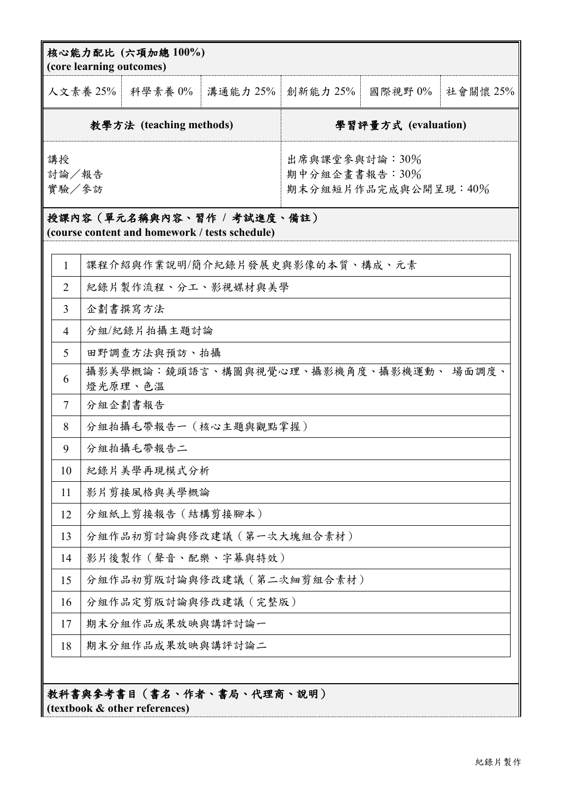|                         | 人文素養 25%                                          | 科學素養 0% |                                                       | 溝通能力 25%   創新能力 25% | 國際視野 0% | 社會關懷 25% |
|-------------------------|---------------------------------------------------|---------|-------------------------------------------------------|---------------------|---------|----------|
| 教學方法 (teaching methods) |                                                   |         | 學習評量方式 (evaluation)                                   |                     |         |          |
| 講授<br>討論/報告<br>實驗/參訪    |                                                   |         | 出席與課堂參與討論:30%<br>期中分組企畫書報告:30%<br>期末分組短片作品完成與公開呈現:40% |                     |         |          |
|                         |                                                   |         |                                                       |                     |         |          |
| $\mathbf{1}$            | 課程介紹與作業說明/簡介紀錄片發展史與影像的本質、構成、元素                    |         |                                                       |                     |         |          |
| $\overline{2}$          | 紀錄片製作流程、分工、影視媒材與美學                                |         |                                                       |                     |         |          |
| 3                       | 企劃書撰寫方法                                           |         |                                                       |                     |         |          |
| $\overline{4}$          | 分組/紀錄片拍攝主題討論                                      |         |                                                       |                     |         |          |
| 5                       | 田野調查方法與預訪、拍攝                                      |         |                                                       |                     |         |          |
| 6                       | 攝影美學概論:鏡頭語言、構圖與視覺心理、攝影機角度、攝影機運動、 場面調度、<br>燈光原理、色溫 |         |                                                       |                     |         |          |
| $\tau$                  | 分組企劃書報告                                           |         |                                                       |                     |         |          |
| 8                       | 分組拍攝毛帶報告一(核心主題與觀點掌握)                              |         |                                                       |                     |         |          |
| 9                       | 分組拍攝毛帶報告二                                         |         |                                                       |                     |         |          |
| 10                      | 紀錄片美學再現模式分析                                       |         |                                                       |                     |         |          |
| 11                      | 影片剪接風格與美學概論                                       |         |                                                       |                     |         |          |
| 12                      | 分組紙上剪接報告 (結構剪接腳本)                                 |         |                                                       |                     |         |          |
| 13                      | 分組作品初剪討論與修改建議 (第一次大塊組合素材)                         |         |                                                       |                     |         |          |
| 14                      | 影片後製作 (聲音、配樂、字幕與特效)                               |         |                                                       |                     |         |          |
| 15                      | 分組作品初剪版討論與修改建議(第二次細剪組合素材)                         |         |                                                       |                     |         |          |
| 16                      | 分組作品定剪版討論與修改建議(完整版)                               |         |                                                       |                     |         |          |
| 17                      | 期末分組作品成果放映與講評討論一                                  |         |                                                       |                     |         |          |
| 18                      | 期末分組作品成果放映與講評討論二                                  |         |                                                       |                     |         |          |

**(textbook & other references)**